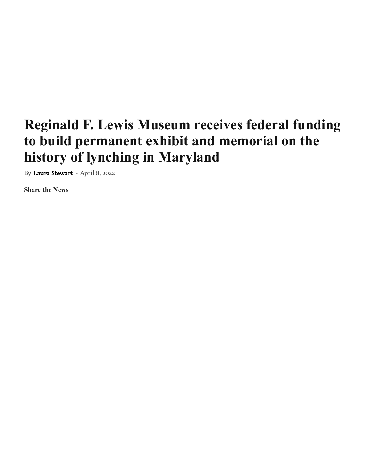## **Reginald F. Lewis Museum receives federal funding to build permanent exhibit and memorial on the history of lynching in Maryland**

By Laura Stewart - April 8, 2022

**Share the News**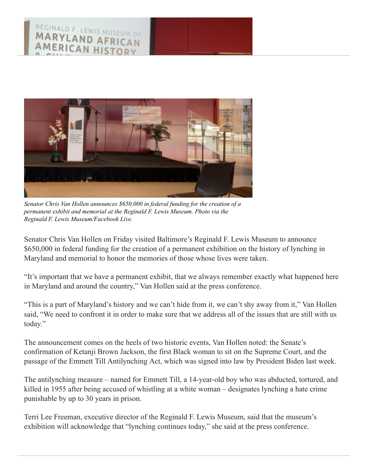

*Senator Chris Van Hollen announces \$650,000 in federal funding for the creation of a permanent exhibit and memorial at the Reginald F. Lewis Museum. Photo via the Reginald F. Lewis Museum/Facebook Live.*

 Senator Chris Van Hollen on Friday visited Baltimore's Reginald F. Lewis Museum to announce \$650,000 in federal funding for the creation of a permanent exhibition on the history of lynching in Maryland and memorial to honor the memories of those whose lives were taken.

 "It's important that we have a permanent exhibit, that we always remember exactly what happened here in Maryland and around the country," Van Hollen said at the press conference.

 "This is a part of Maryland's history and we can't hide from it, we can't shy away from it," Van Hollen said, "We need to confront it in order to make sure that we address all of the issues that are still with us today."

 The announcement comes on the heels of two historic events, Van Hollen noted: the Senate's confirmation of Ketanji Brown Jackson, the first Black woman to sit on the Supreme Court, and the passage of the Emmett Till Antilynching Act, which was signed into law by President Biden last week.

 The antilynching measure – named for Emmett Till, a 14-year-old boy who was abducted, tortured, and killed in 1955 after being accused of whistling at a white woman – designates lynching a hate crime punishable by up to 30 years in prison.

 Terri Lee Freeman, executive director of the Reginald F. Lewis Museum, said that the museum's exhibition will acknowledge that "lynching continues today," she said at the press conference.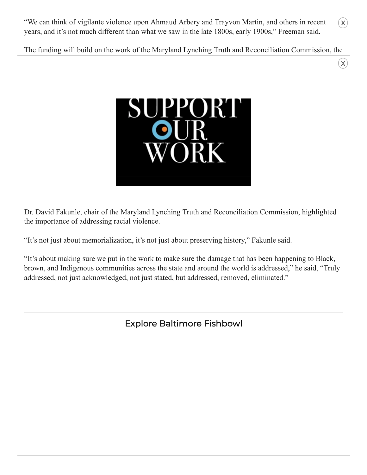"We can think of vigilante violence upon Ahmaud Arbery and Trayvon Martin, and others in recent years, and it's not much different than what we saw in the late 1800s, early 1900s," Freeman said.

The funding will build on the work of the Maryland Lynching Truth and Reconciliation Commission, the

 $(\mathsf{X})$ 

 $\widehat{(\mathsf{x})}$ 



 Dr. David Fakunle, chair of the Maryland Lynching Truth and Reconciliation Commission, highlighted the importance of addressing racial violence.

"It's not just about memorialization, it's not just about preserving history," Fakunle said.

 "It's about making sure we put in the work to make sure the damage that has been happening to Black, brown, and Indigenous communities across the state and around the world is addressed," he said, "Truly addressed, not just acknowledged, not just stated, but addressed, removed, eliminated."

Explore Baltimore Fishbowl